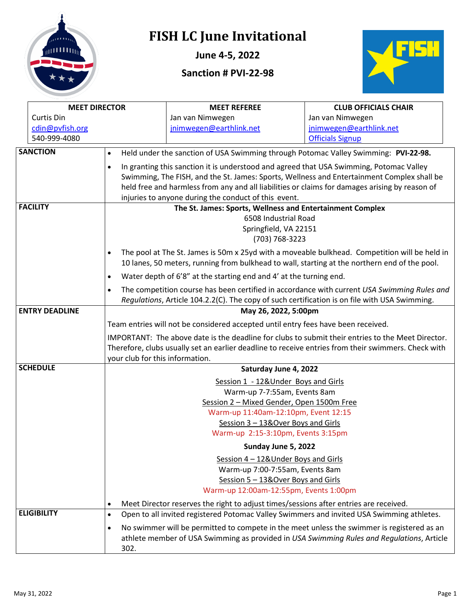

# **FISH LC June Invitational**

**June 4-5, 2022**

## **Sanction # PVI-22-98**



| <b>MEET DIRECTOR</b>  |                                                                                                   | <b>MEET REFEREE</b>                                                                                 | <b>CLUB OFFICIALS CHAIR</b> |  |  |  |  |  |
|-----------------------|---------------------------------------------------------------------------------------------------|-----------------------------------------------------------------------------------------------------|-----------------------------|--|--|--|--|--|
| Curtis Din            |                                                                                                   | Jan van Nimwegen                                                                                    | Jan van Nimwegen            |  |  |  |  |  |
| cdin@pvfish.org       |                                                                                                   | jnimwegen@earthlink.net                                                                             | jnimwegen@earthlink.net     |  |  |  |  |  |
| 540-999-4080          |                                                                                                   |                                                                                                     | <b>Officials Signup</b>     |  |  |  |  |  |
| <b>SANCTION</b>       | $\bullet$                                                                                         | Held under the sanction of USA Swimming through Potomac Valley Swimming: PVI-22-98.                 |                             |  |  |  |  |  |
|                       | ٠                                                                                                 | In granting this sanction it is understood and agreed that USA Swimming, Potomac Valley             |                             |  |  |  |  |  |
|                       |                                                                                                   | Swimming, The FISH, and the St. James: Sports, Wellness and Entertainment Complex shall be          |                             |  |  |  |  |  |
|                       |                                                                                                   | held free and harmless from any and all liabilities or claims for damages arising by reason of      |                             |  |  |  |  |  |
|                       |                                                                                                   | injuries to anyone during the conduct of this event.                                                |                             |  |  |  |  |  |
| <b>FACILITY</b>       |                                                                                                   | The St. James: Sports, Wellness and Entertainment Complex                                           |                             |  |  |  |  |  |
|                       |                                                                                                   | 6508 Industrial Road                                                                                |                             |  |  |  |  |  |
|                       |                                                                                                   | Springfield, VA 22151                                                                               |                             |  |  |  |  |  |
|                       |                                                                                                   | (703) 768-3223                                                                                      |                             |  |  |  |  |  |
|                       |                                                                                                   | The pool at The St. James is 50m x 25yd with a moveable bulkhead. Competition will be held in       |                             |  |  |  |  |  |
|                       |                                                                                                   | 10 lanes, 50 meters, running from bulkhead to wall, starting at the northern end of the pool.       |                             |  |  |  |  |  |
|                       | $\bullet$                                                                                         | Water depth of 6'8" at the starting end and 4' at the turning end.                                  |                             |  |  |  |  |  |
|                       | $\bullet$                                                                                         | The competition course has been certified in accordance with current USA Swimming Rules and         |                             |  |  |  |  |  |
|                       |                                                                                                   | Regulations, Article 104.2.2(C). The copy of such certification is on file with USA Swimming.       |                             |  |  |  |  |  |
| <b>ENTRY DEADLINE</b> | May 26, 2022, 5:00pm                                                                              |                                                                                                     |                             |  |  |  |  |  |
|                       | Team entries will not be considered accepted until entry fees have been received.                 |                                                                                                     |                             |  |  |  |  |  |
|                       | IMPORTANT: The above date is the deadline for clubs to submit their entries to the Meet Director. |                                                                                                     |                             |  |  |  |  |  |
|                       |                                                                                                   | Therefore, clubs usually set an earlier deadline to receive entries from their swimmers. Check with |                             |  |  |  |  |  |
|                       | your club for this information.                                                                   |                                                                                                     |                             |  |  |  |  |  |
| <b>SCHEDULE</b>       |                                                                                                   | Saturday June 4, 2022                                                                               |                             |  |  |  |  |  |
|                       |                                                                                                   | Session 1 - 12& Under Boys and Girls                                                                |                             |  |  |  |  |  |
|                       |                                                                                                   | Warm-up 7-7:55am, Events 8am                                                                        |                             |  |  |  |  |  |
|                       |                                                                                                   | Session 2 - Mixed Gender, Open 1500m Free                                                           |                             |  |  |  |  |  |
|                       |                                                                                                   | Warm-up 11:40am-12:10pm, Event 12:15                                                                |                             |  |  |  |  |  |
|                       | Session 3 - 13&Over Boys and Girls                                                                |                                                                                                     |                             |  |  |  |  |  |
|                       | Warm-up 2:15-3:10pm, Events 3:15pm                                                                |                                                                                                     |                             |  |  |  |  |  |
|                       |                                                                                                   | Sunday June 5, 2022                                                                                 |                             |  |  |  |  |  |
|                       |                                                                                                   | Session 4 - 12& Under Boys and Girls                                                                |                             |  |  |  |  |  |
|                       | Warm-up 7:00-7:55am, Events 8am                                                                   |                                                                                                     |                             |  |  |  |  |  |
|                       | Session 5 - 13& Over Boys and Girls                                                               |                                                                                                     |                             |  |  |  |  |  |
|                       |                                                                                                   | Warm-up 12:00am-12:55pm, Events 1:00pm                                                              |                             |  |  |  |  |  |
|                       | ٠                                                                                                 | Meet Director reserves the right to adjust times/sessions after entries are received.               |                             |  |  |  |  |  |
| <b>ELIGIBILITY</b>    | $\bullet$                                                                                         | Open to all invited registered Potomac Valley Swimmers and invited USA Swimming athletes.           |                             |  |  |  |  |  |
|                       | ٠                                                                                                 | No swimmer will be permitted to compete in the meet unless the swimmer is registered as an          |                             |  |  |  |  |  |
|                       |                                                                                                   | athlete member of USA Swimming as provided in USA Swimming Rules and Regulations, Article           |                             |  |  |  |  |  |
|                       | 302.                                                                                              |                                                                                                     |                             |  |  |  |  |  |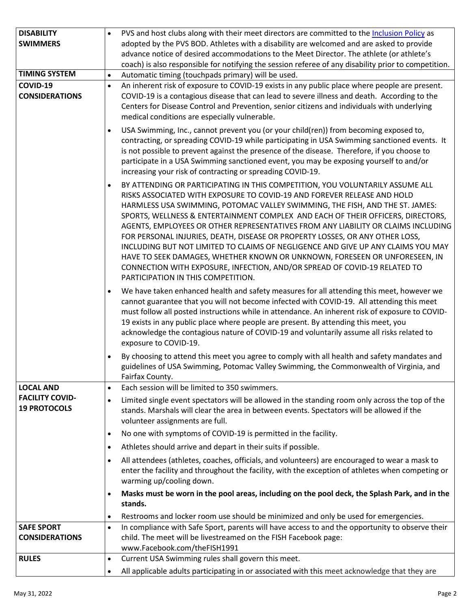| <b>DISABILITY</b>      | PVS and host clubs along with their meet directors are committed to the Inclusion Policy as<br>$\bullet$      |
|------------------------|---------------------------------------------------------------------------------------------------------------|
|                        |                                                                                                               |
| <b>SWIMMERS</b>        | adopted by the PVS BOD. Athletes with a disability are welcomed and are asked to provide                      |
|                        | advance notice of desired accommodations to the Meet Director. The athlete (or athlete's                      |
|                        | coach) is also responsible for notifying the session referee of any disability prior to competition.          |
| <b>TIMING SYSTEM</b>   | Automatic timing (touchpads primary) will be used.<br>$\bullet$                                               |
| COVID-19               | An inherent risk of exposure to COVID-19 exists in any public place where people are present.<br>$\bullet$    |
| <b>CONSIDERATIONS</b>  | COVID-19 is a contagious disease that can lead to severe illness and death. According to the                  |
|                        | Centers for Disease Control and Prevention, senior citizens and individuals with underlying                   |
|                        | medical conditions are especially vulnerable.                                                                 |
|                        | USA Swimming, Inc., cannot prevent you (or your child(ren)) from becoming exposed to,<br>$\bullet$            |
|                        | contracting, or spreading COVID-19 while participating in USA Swimming sanctioned events. It                  |
|                        | is not possible to prevent against the presence of the disease. Therefore, if you choose to                   |
|                        | participate in a USA Swimming sanctioned event, you may be exposing yourself to and/or                        |
|                        | increasing your risk of contracting or spreading COVID-19.                                                    |
|                        |                                                                                                               |
|                        | BY ATTENDING OR PARTICIPATING IN THIS COMPETITION, YOU VOLUNTARILY ASSUME ALL<br>$\bullet$                    |
|                        | RISKS ASSOCIATED WITH EXPOSURE TO COVID-19 AND FOREVER RELEASE AND HOLD                                       |
|                        | HARMLESS USA SWIMMING, POTOMAC VALLEY SWIMMING, THE FISH, AND THE ST. JAMES:                                  |
|                        | SPORTS, WELLNESS & ENTERTAINMENT COMPLEX AND EACH OF THEIR OFFICERS, DIRECTORS,                               |
|                        | AGENTS, EMPLOYEES OR OTHER REPRESENTATIVES FROM ANY LIABILITY OR CLAIMS INCLUDING                             |
|                        | FOR PERSONAL INJURIES, DEATH, DISEASE OR PROPERTY LOSSES, OR ANY OTHER LOSS,                                  |
|                        | INCLUDING BUT NOT LIMITED TO CLAIMS OF NEGLIGENCE AND GIVE UP ANY CLAIMS YOU MAY                              |
|                        | HAVE TO SEEK DAMAGES, WHETHER KNOWN OR UNKNOWN, FORESEEN OR UNFORESEEN, IN                                    |
|                        | CONNECTION WITH EXPOSURE, INFECTION, AND/OR SPREAD OF COVID-19 RELATED TO                                     |
|                        | PARTICIPATION IN THIS COMPETITION.                                                                            |
|                        | We have taken enhanced health and safety measures for all attending this meet, however we<br>$\bullet$        |
|                        | cannot guarantee that you will not become infected with COVID-19. All attending this meet                     |
|                        | must follow all posted instructions while in attendance. An inherent risk of exposure to COVID-               |
|                        | 19 exists in any public place where people are present. By attending this meet, you                           |
|                        | acknowledge the contagious nature of COVID-19 and voluntarily assume all risks related to                     |
|                        | exposure to COVID-19.                                                                                         |
|                        |                                                                                                               |
|                        | By choosing to attend this meet you agree to comply with all health and safety mandates and<br>$\bullet$      |
|                        | guidelines of USA Swimming, Potomac Valley Swimming, the Commonwealth of Virginia, and                        |
|                        | Fairfax County.                                                                                               |
| <b>LOCAL AND</b>       | Each session will be limited to 350 swimmers.<br>$\bullet$                                                    |
| <b>FACILITY COVID-</b> | Limited single event spectators will be allowed in the standing room only across the top of the<br>$\bullet$  |
| <b>19 PROTOCOLS</b>    | stands. Marshals will clear the area in between events. Spectators will be allowed if the                     |
|                        | volunteer assignments are full.                                                                               |
|                        | No one with symptoms of COVID-19 is permitted in the facility.<br>$\bullet$                                   |
|                        | Athletes should arrive and depart in their suits if possible.<br>٠                                            |
|                        | All attendees (athletes, coaches, officials, and volunteers) are encouraged to wear a mask to                 |
|                        | $\bullet$<br>enter the facility and throughout the facility, with the exception of athletes when competing or |
|                        |                                                                                                               |
|                        | warming up/cooling down.                                                                                      |
|                        | Masks must be worn in the pool areas, including on the pool deck, the Splash Park, and in the<br>$\bullet$    |
|                        | stands.                                                                                                       |
|                        | Restrooms and locker room use should be minimized and only be used for emergencies.<br>٠                      |
| <b>SAFE SPORT</b>      | In compliance with Safe Sport, parents will have access to and the opportunity to observe their<br>$\bullet$  |
| <b>CONSIDERATIONS</b>  | child. The meet will be livestreamed on the FISH Facebook page:                                               |
|                        | www.Facebook.com/theFISH1991                                                                                  |
| <b>RULES</b>           | Current USA Swimming rules shall govern this meet.<br>$\bullet$                                               |
|                        | All applicable adults participating in or associated with this meet acknowledge that they are<br>٠            |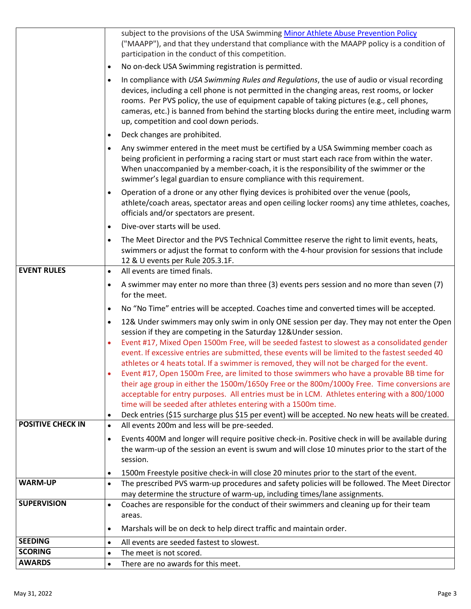|                          | subject to the provisions of the USA Swimming Minor Athlete Abuse Prevention Policy<br>("MAAPP"), and that they understand that compliance with the MAAPP policy is a condition of<br>participation in the conduct of this competition.                                                                                                                                                                                                 |
|--------------------------|-----------------------------------------------------------------------------------------------------------------------------------------------------------------------------------------------------------------------------------------------------------------------------------------------------------------------------------------------------------------------------------------------------------------------------------------|
|                          | No on-deck USA Swimming registration is permitted.                                                                                                                                                                                                                                                                                                                                                                                      |
|                          | In compliance with USA Swimming Rules and Regulations, the use of audio or visual recording<br>devices, including a cell phone is not permitted in the changing areas, rest rooms, or locker<br>rooms. Per PVS policy, the use of equipment capable of taking pictures (e.g., cell phones,<br>cameras, etc.) is banned from behind the starting blocks during the entire meet, including warm<br>up, competition and cool down periods. |
|                          | Deck changes are prohibited.                                                                                                                                                                                                                                                                                                                                                                                                            |
|                          | Any swimmer entered in the meet must be certified by a USA Swimming member coach as<br>being proficient in performing a racing start or must start each race from within the water.<br>When unaccompanied by a member-coach, it is the responsibility of the swimmer or the<br>swimmer's legal guardian to ensure compliance with this requirement.                                                                                     |
|                          | Operation of a drone or any other flying devices is prohibited over the venue (pools,<br>athlete/coach areas, spectator areas and open ceiling locker rooms) any time athletes, coaches,<br>officials and/or spectators are present.                                                                                                                                                                                                    |
|                          | Dive-over starts will be used.                                                                                                                                                                                                                                                                                                                                                                                                          |
|                          | The Meet Director and the PVS Technical Committee reserve the right to limit events, heats,<br>swimmers or adjust the format to conform with the 4-hour provision for sessions that include<br>12 & U events per Rule 205.3.1F.                                                                                                                                                                                                         |
| <b>EVENT RULES</b>       | All events are timed finals.                                                                                                                                                                                                                                                                                                                                                                                                            |
|                          | A swimmer may enter no more than three (3) events pers session and no more than seven (7)<br>for the meet.                                                                                                                                                                                                                                                                                                                              |
|                          | No "No Time" entries will be accepted. Coaches time and converted times will be accepted.                                                                                                                                                                                                                                                                                                                                               |
|                          | 12& Under swimmers may only swim in only ONE session per day. They may not enter the Open                                                                                                                                                                                                                                                                                                                                               |
|                          | session if they are competing in the Saturday 12& Under session.<br>Event #17, Mixed Open 1500m Free, will be seeded fastest to slowest as a consolidated gender                                                                                                                                                                                                                                                                        |
|                          | event. If excessive entries are submitted, these events will be limited to the fastest seeded 40                                                                                                                                                                                                                                                                                                                                        |
|                          | athletes or 4 heats total. If a swimmer is removed, they will not be charged for the event.                                                                                                                                                                                                                                                                                                                                             |
|                          | Event #17, Open 1500m Free, are limited to those swimmers who have a provable BB time for                                                                                                                                                                                                                                                                                                                                               |
|                          | their age group in either the 1500m/1650y Free or the 800m/1000y Free. Time conversions are<br>acceptable for entry purposes. All entries must be in LCM. Athletes entering with a 800/1000                                                                                                                                                                                                                                             |
|                          | time will be seeded after athletes entering with a 1500m time.                                                                                                                                                                                                                                                                                                                                                                          |
|                          | Deck entries (\$15 surcharge plus \$15 per event) will be accepted. No new heats will be created.                                                                                                                                                                                                                                                                                                                                       |
| <b>POSITIVE CHECK IN</b> | All events 200m and less will be pre-seeded.                                                                                                                                                                                                                                                                                                                                                                                            |
|                          | Events 400M and longer will require positive check-in. Positive check in will be available during<br>the warm-up of the session an event is swum and will close 10 minutes prior to the start of the                                                                                                                                                                                                                                    |
|                          | session.                                                                                                                                                                                                                                                                                                                                                                                                                                |
|                          | 1500m Freestyle positive check-in will close 20 minutes prior to the start of the event.                                                                                                                                                                                                                                                                                                                                                |
| <b>WARM-UP</b>           | The prescribed PVS warm-up procedures and safety policies will be followed. The Meet Director                                                                                                                                                                                                                                                                                                                                           |
|                          | may determine the structure of warm-up, including times/lane assignments.                                                                                                                                                                                                                                                                                                                                                               |
| <b>SUPERVISION</b>       | Coaches are responsible for the conduct of their swimmers and cleaning up for their team<br>areas.                                                                                                                                                                                                                                                                                                                                      |
|                          | Marshals will be on deck to help direct traffic and maintain order.                                                                                                                                                                                                                                                                                                                                                                     |
| <b>SEEDING</b>           | All events are seeded fastest to slowest.                                                                                                                                                                                                                                                                                                                                                                                               |
| <b>SCORING</b>           | The meet is not scored.                                                                                                                                                                                                                                                                                                                                                                                                                 |
| <b>AWARDS</b>            | There are no awards for this meet.                                                                                                                                                                                                                                                                                                                                                                                                      |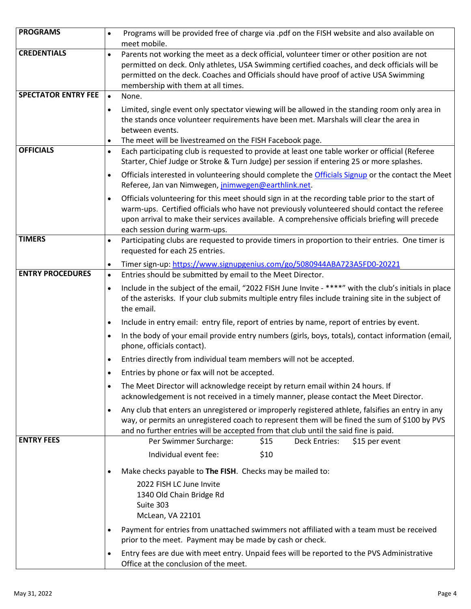| <b>PROGRAMS</b>            | Programs will be provided free of charge via .pdf on the FISH website and also available on<br>$\bullet$<br>meet mobile.                                                                                                                                                                                                                         |
|----------------------------|--------------------------------------------------------------------------------------------------------------------------------------------------------------------------------------------------------------------------------------------------------------------------------------------------------------------------------------------------|
| <b>CREDENTIALS</b>         | Parents not working the meet as a deck official, volunteer timer or other position are not<br>$\bullet$<br>permitted on deck. Only athletes, USA Swimming certified coaches, and deck officials will be<br>permitted on the deck. Coaches and Officials should have proof of active USA Swimming<br>membership with them at all times.           |
| <b>SPECTATOR ENTRY FEE</b> | None.<br>$\bullet$                                                                                                                                                                                                                                                                                                                               |
|                            | Limited, single event only spectator viewing will be allowed in the standing room only area in<br>$\bullet$<br>the stands once volunteer requirements have been met. Marshals will clear the area in<br>between events.<br>The meet will be livestreamed on the FISH Facebook page.<br>$\bullet$                                                 |
| <b>OFFICIALS</b>           | Each participating club is requested to provide at least one table worker or official (Referee<br>$\bullet$<br>Starter, Chief Judge or Stroke & Turn Judge) per session if entering 25 or more splashes.                                                                                                                                         |
|                            | Officials interested in volunteering should complete the Officials Signup or the contact the Meet<br>$\bullet$<br>Referee, Jan van Nimwegen, jnimwegen@earthlink.net.                                                                                                                                                                            |
|                            | Officials volunteering for this meet should sign in at the recording table prior to the start of<br>$\bullet$<br>warm-ups. Certified officials who have not previously volunteered should contact the referee<br>upon arrival to make their services available. A comprehensive officials briefing will precede<br>each session during warm-ups. |
| <b>TIMERS</b>              | Participating clubs are requested to provide timers in proportion to their entries. One timer is<br>$\bullet$<br>requested for each 25 entries.                                                                                                                                                                                                  |
|                            | Timer sign-up: https://www.signupgenius.com/go/5080944ABA723A5FD0-20221<br>$\bullet$                                                                                                                                                                                                                                                             |
| <b>ENTRY PROCEDURES</b>    | Entries should be submitted by email to the Meet Director.<br>$\bullet$                                                                                                                                                                                                                                                                          |
|                            | Include in the subject of the email, "2022 FISH June Invite - ****" with the club's initials in place<br>$\bullet$<br>of the asterisks. If your club submits multiple entry files include training site in the subject of<br>the email.                                                                                                          |
|                            | Include in entry email: entry file, report of entries by name, report of entries by event.<br>$\bullet$                                                                                                                                                                                                                                          |
|                            | In the body of your email provide entry numbers (girls, boys, totals), contact information (email,<br>$\bullet$<br>phone, officials contact).                                                                                                                                                                                                    |
|                            | Entries directly from individual team members will not be accepted.<br>$\bullet$                                                                                                                                                                                                                                                                 |
|                            | Entries by phone or fax will not be accepted.                                                                                                                                                                                                                                                                                                    |
|                            | The Meet Director will acknowledge receipt by return email within 24 hours. If<br>$\bullet$<br>acknowledgement is not received in a timely manner, please contact the Meet Director.                                                                                                                                                             |
|                            | Any club that enters an unregistered or improperly registered athlete, falsifies an entry in any<br>$\bullet$<br>way, or permits an unregistered coach to represent them will be fined the sum of \$100 by PVS<br>and no further entries will be accepted from that club until the said fine is paid.                                            |
| <b>ENTRY FEES</b>          | Per Swimmer Surcharge:<br><b>Deck Entries:</b><br>\$15 per event<br>\$15                                                                                                                                                                                                                                                                         |
|                            | Individual event fee:<br>\$10                                                                                                                                                                                                                                                                                                                    |
|                            | Make checks payable to The FISH. Checks may be mailed to:<br>$\bullet$                                                                                                                                                                                                                                                                           |
|                            | 2022 FISH LC June Invite<br>1340 Old Chain Bridge Rd<br>Suite 303<br>McLean, VA 22101                                                                                                                                                                                                                                                            |
|                            | Payment for entries from unattached swimmers not affiliated with a team must be received<br>$\bullet$<br>prior to the meet. Payment may be made by cash or check.                                                                                                                                                                                |
|                            | Entry fees are due with meet entry. Unpaid fees will be reported to the PVS Administrative<br>$\bullet$<br>Office at the conclusion of the meet.                                                                                                                                                                                                 |